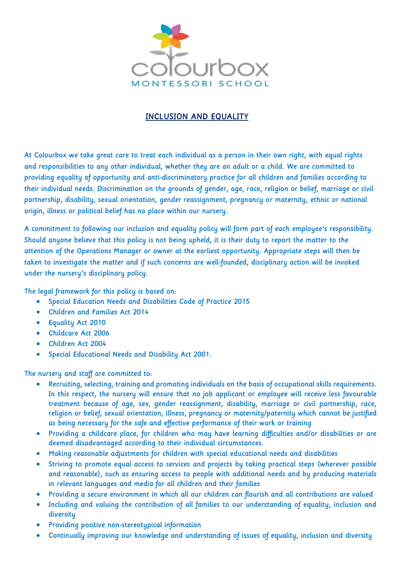

# INCLUSION AND EQUALITY

At Colourbox we take great care to treat each individual as a person in their own right, with equal rights and responsibilities to any other individual, whether they are an adult or a child. We are committed to providing equality of opportunity and anti-discriminatory practice for all children and families according to their individual needs. Discrimination on the grounds of gender, age, race, religion or belief, marriage or civil partnership, disability, sexual orientation, gender reassignment, pregnancy or maternity, ethnic or national origin, illness or political belief has no place within our nursery.

A commitment to following our inclusion and equality policy will form part of each employee's responsibility. Should anyone believe that this policy is not being upheld, it is their duty to report the matter to the attention of the Operations Manager or owner at the earliest opportunity. Appropriate steps will then be taken to investigate the matter and if such concerns are well-founded, disciplinary action will be invoked under the nursery's disciplinary policy.

The legal framework for this policy is based on:

- Special Education Needs and Disabilities Code of Practice 2015
- Children and Families Act 2014
- Equality Act 2010
- Childcare Act 2006
- Children Act 2004
- Special Educational Needs and Disability Act 2001.

The nursery and staff are committed to:

- Recruiting, selecting, training and promoting individuals on the basis of occupational skills requirements. In this respect, the nursery will ensure that no job applicant or employee will receive less favourable treatment because of age, sex, gender reassignment, disability, marriage or civil partnership, race, religion or belief, sexual orientation, illness, pregnancy or maternity/paternity which cannot be justified as being necessary for the safe and effective performance of their work or training
- Providing a childcare place, for children who may have learning difficulties and/or disabilities or are deemed disadvantaged according to their individual circumstances.
- Making reasonable adjustments for children with special educational needs and disabilities
- Striving to promote equal access to services and projects by taking practical steps (wherever possible and reasonable), such as ensuring access to people with additional needs and by producing materials in relevant languages and media for all children and their families
- Providing a secure environment in which all our children can flourish and all contributions are valued
- Including and valuing the contribution of all families to our understanding of equality, inclusion and diversity
- Providing positive non-stereotypical information
- Continually improving our knowledge and understanding of issues of equality, inclusion and diversity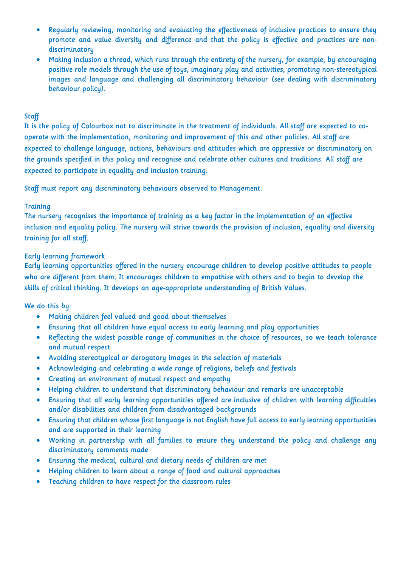- Regularly reviewing, monitoring and evaluating the effectiveness of inclusive practices to ensure they promote and value diversity and difference and that the policy is effective and practices are nondiscriminatory
- Making inclusion a thread, which runs through the entirety of the nursery, for example, by encouraging positive role models through the use of toys, imaginary play and activities, promoting non-stereotypical images and language and challenging all discriminatory behaviour (see dealing with discriminatory behaviour policy).

### **Staff**

It is the policy of Colourbox not to discriminate in the treatment of individuals. All staff are expected to cooperate with the implementation, monitoring and improvement of this and other policies. All staff are expected to challenge language, actions, behaviours and attitudes which are oppressive or discriminatory on the grounds specified in this policy and recognise and celebrate other cultures and traditions. All staff are expected to participate in equality and inclusion training.

Staff must report any discriminatory behaviours observed to Management.

#### **Training**

The nursery recognises the importance of training as a key factor in the implementation of an effective inclusion and equality policy. The nursery will strive towards the provision of inclusion, equality and diversity training for all staff.

## Early learning framework

Early learning opportunities offered in the nursery encourage children to develop positive attitudes to people who are different from them. It encourages children to empathise with others and to begin to develop the skills of critical thinking. It develops an age-appropriate understanding of British Values.

We do this by:

- Making children feel valued and good about themselves
- Ensuring that all children have equal access to early learning and play opportunities
- Reflecting the widest possible range of communities in the choice of resources, so we teach tolerance and mutual respect
- Avoiding stereotypical or derogatory images in the selection of materials
- Acknowledging and celebrating a wide range of religions, beliefs and festivals
- Creating an environment of mutual respect and empathy
- Helping children to understand that discriminatory behaviour and remarks are unacceptable
- Ensuring that all early learning opportunities offered are inclusive of children with learning difficulties and/or disabilities and children from disadvantaged backgrounds
- Ensuring that children whose first language is not English have full access to early learning opportunities and are supported in their learning
- Working in partnership with all families to ensure they understand the policy and challenge any discriminatory comments made
- Ensuring the medical, cultural and dietary needs of children are met
- Helping children to learn about a range of food and cultural approaches
- Teaching children to have respect for the classroom rules